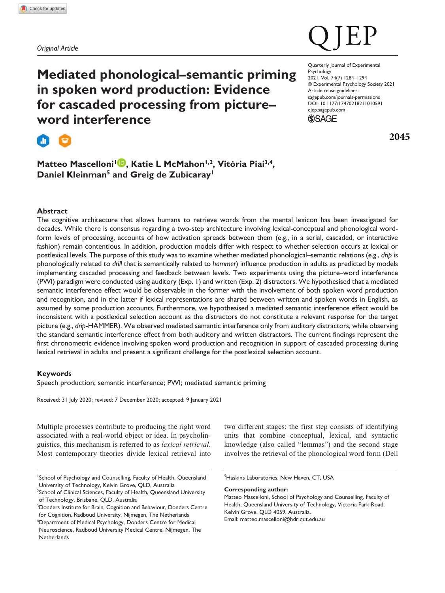*Original Article*

**Mediated phonological–semantic priming in spoken word production: Evidence for cascaded processing from picture– word interference**

**Expert** 

# Matteo Mascelloni<sup>1</sup> **D**, Katie L McMahon<sup>1,2</sup>, Vitória Piai<sup>3,4</sup>, **Daniel Kleinman5 and Greig de Zubicaray1**

DOI: 10.1177/17470218211010591 Quarterly Journal of Experimental Psychology 2021, Vol. 74(7) 1284–1294 © Experimental Psychology Society 2021 Article reuse guidelines: [sagepub.com/journals-permissions](https://uk.sagepub.com/en-gb/journals-permissions) [qjep.sagepub.com](http://qjep.sagepub.com)



**2045**

# **Abstract**

The cognitive architecture that allows humans to retrieve words from the mental lexicon has been investigated for decades. While there is consensus regarding a two-step architecture involving lexical-conceptual and phonological wordform levels of processing, accounts of how activation spreads between them (e.g., in a serial, cascaded, or interactive fashion) remain contentious. In addition, production models differ with respect to whether selection occurs at lexical or postlexical levels. The purpose of this study was to examine whether mediated phonological–semantic relations (e.g., *drip* is phonologically related to *drill* that is semantically related to *hammer*) influence production in adults as predicted by models implementing cascaded processing and feedback between levels. Two experiments using the picture–word interference (PWI) paradigm were conducted using auditory (Exp. 1) and written (Exp. 2) distractors. We hypothesised that a mediated semantic interference effect would be observable in the former with the involvement of both spoken word production and recognition, and in the latter if lexical representations are shared between written and spoken words in English, as assumed by some production accounts. Furthermore, we hypothesised a mediated semantic interference effect would be inconsistent with a postlexical selection account as the distractors do not constitute a relevant response for the target picture (e.g., *drip*-HAMMER). We observed mediated semantic interference only from auditory distractors, while observing the standard semantic interference effect from both auditory and written distractors. The current findings represent the first chronometric evidence involving spoken word production and recognition in support of cascaded processing during lexical retrieval in adults and present a significant challenge for the postlexical selection account.

# **Keywords**

Speech production; semantic interference; PWI; mediated semantic priming

Received: 31 July 2020; revised: 7 December 2020; accepted: 9 January 2021

Multiple processes contribute to producing the right word associated with a real-world object or idea. In psycholinguistics, this mechanism is referred to as *lexical retrieval*. Most contemporary theories divide lexical retrieval into

two different stages: the first step consists of identifying units that combine conceptual, lexical, and syntactic knowledge (also called "lemmas") and the second stage involves the retrieval of the phonological word form (Dell

**Corresponding author:**

<sup>1</sup> School of Psychology and Counselling, Faculty of Health, Queensland University of Technology, Kelvin Grove, QLD, Australia

<sup>&</sup>lt;sup>2</sup>School of Clinical Sciences, Faculty of Health, Queensland University of Technology, Brisbane, QLD, Australia

<sup>&</sup>lt;sup>3</sup> Donders Institute for Brain, Cognition and Behaviour, Donders Centre for Cognition, Radboud University, Nijmegen, The Netherlands 4 Department of Medical Psychology, Donders Centre for Medical

Neuroscience, Radboud University Medical Centre, Nijmegen, The **Netherlands** 

<sup>5</sup> Haskins Laboratories, New Haven, CT, USA

Matteo Mascelloni, School of Psychology and Counselling, Faculty of Health, Queensland University of Technology, Victoria Park Road, Kelvin Grove, QLD 4059, Australia. Email: [matteo.mascelloni@hdr.qut.edu.au](mailto:matteo.mascelloni@hdr.qut.edu.au)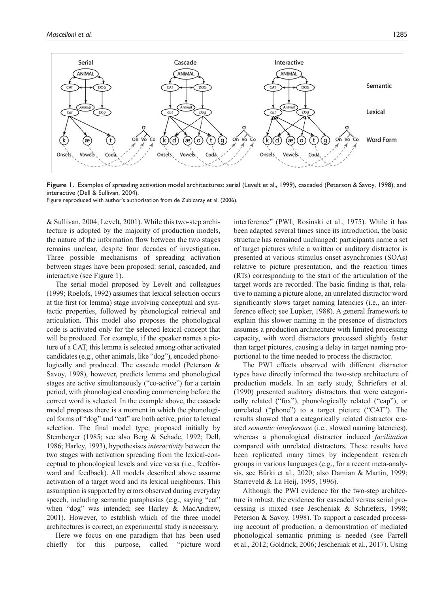

**Figure 1.** Examples of spreading activation model architectures: serial (Levelt et al., 1999), cascaded (Peterson & Savoy, 1998), and interactive (Dell & Sullivan, 2004).

Figure reproduced with author's authorisation from de Zubicaray et al. (2006).

& Sullivan, 2004; Levelt, 2001). While this two-step architecture is adopted by the majority of production models, the nature of the information flow between the two stages remains unclear, despite four decades of investigation. Three possible mechanisms of spreading activation between stages have been proposed: serial, cascaded, and interactive (see Figure 1).

The serial model proposed by Levelt and colleagues (1999; Roelofs, 1992) assumes that lexical selection occurs at the first (or lemma) stage involving conceptual and syntactic properties, followed by phonological retrieval and articulation. This model also proposes the phonological code is activated only for the selected lexical concept that will be produced. For example, if the speaker names a picture of a CAT, this lemma is selected among other activated candidates (e.g., other animals, like "dog"), encoded phonologically and produced. The cascade model (Peterson & Savoy, 1998), however, predicts lemma and phonological stages are active simultaneously ("co-active") for a certain period, with phonological encoding commencing before the correct word is selected. In the example above, the cascade model proposes there is a moment in which the phonological forms of "dog" and "cat" are both active, prior to lexical selection. The final model type, proposed initially by Stemberger (1985; see also Berg & Schade, 1992; Dell, 1986; Harley, 1993), hypothesises *interactivity* between the two stages with activation spreading from the lexical-conceptual to phonological levels and vice versa (i.e., feedforward and feedback). All models described above assume activation of a target word and its lexical neighbours. This assumption is supported by errors observed during everyday speech, including semantic paraphasias (e.g., saying "cat" when "dog" was intended; see Harley & MacAndrew, 2001). However, to establish which of the three model architectures is correct, an experimental study is necessary.

Here we focus on one paradigm that has been used chiefly for this purpose, called "picture–word interference" (PWI; Rosinski et al., 1975). While it has been adapted several times since its introduction, the basic structure has remained unchanged: participants name a set of target pictures while a written or auditory distractor is presented at various stimulus onset asynchronies (SOAs) relative to picture presentation, and the reaction times (RTs) corresponding to the start of the articulation of the target words are recorded. The basic finding is that, relative to naming a picture alone, an unrelated distractor word significantly slows target naming latencies (i.e., an interference effect; see Lupker, 1988). A general framework to explain this slower naming in the presence of distractors assumes a production architecture with limited processing capacity, with word distractors processed slightly faster than target pictures, causing a delay in target naming proportional to the time needed to process the distractor.

The PWI effects observed with different distractor types have directly informed the two-step architecture of production models. In an early study, Schriefers et al. (1990) presented auditory distractors that were categorically related ("fox"), phonologically related ("cap"), or unrelated ("phone") to a target picture ("CAT"). The results showed that a categorically related distractor created *semantic interference* (i.e., slowed naming latencies), whereas a phonological distractor induced *facilitation* compared with unrelated distractors. These results have been replicated many times by independent research groups in various languages (e.g., for a recent meta-analysis, see Bürki et al., 2020; also Damian & Martin, 1999; Starreveld & La Heij, 1995, 1996).

Although the PWI evidence for the two-step architecture is robust, the evidence for cascaded versus serial processing is mixed (see Jescheniak & Schriefers, 1998; Peterson & Savoy, 1998). To support a cascaded processing account of production, a demonstration of mediated phonological–semantic priming is needed (see Farrell et al., 2012; Goldrick, 2006; Jescheniak et al., 2017). Using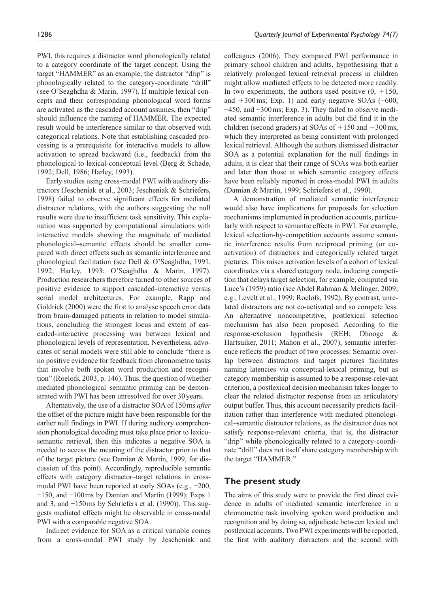PWI, this requires a distractor word phonologically related to a category coordinate of the target concept. Using the target "HAMMER" as an example, the distractor "drip" is phonologically related to the category-coordinate "drill" (see O'Seaghdha & Marin, 1997). If multiple lexical concepts and their corresponding phonological word forms are activated as the cascaded account assumes, then "drip" should influence the naming of HAMMER. The expected result would be interference similar to that observed with categorical relations. Note that establishing cascaded processing is a prerequisite for interactive models to allow activation to spread backward (i.e., feedback) from the phonological to lexical-conceptual level (Berg & Schade, 1992; Dell, 1986; Harley, 1993).

Early studies using cross-modal PWI with auditory distractors (Jescheniak et al., 2003; Jescheniak & Schriefers, 1998) failed to observe significant effects for mediated distractor relations, with the authors suggesting the null results were due to insufficient task sensitivity. This explanation was supported by computational simulations with interactive models showing the magnitude of mediated phonological–semantic effects should be smaller compared with direct effects such as semantic interference and phonological facilitation (see Dell & O'Seaghdha, 1991, 1992; Harley, 1993; O'Seaghdha & Marin, 1997). Production researchers therefore turned to other sources of positive evidence to support cascaded-interactive versus serial model architectures. For example, Rapp and Goldrick (2000) were the first to analyse speech error data from brain-damaged patients in relation to model simulations, concluding the strongest locus and extent of cascaded-interactive processing was between lexical and phonological levels of representation. Nevertheless, advocates of serial models were still able to conclude "there is no positive evidence for feedback from chronometric tasks that involve both spoken word production and recognition" (Roelofs, 2003, p. 146). Thus, the question of whether mediated phonological–semantic priming can be demonstrated with PWI has been unresolved for over 30years.

Alternatively, the use of a distractor SOA of 150ms *after* the offset of the picture might have been responsible for the earlier null findings in PWI. If during auditory comprehension phonological decoding must take place prior to lexicosemantic retrieval, then this indicates a negative SOA is needed to access the meaning of the distractor prior to that of the target picture (see Damian & Martin, 1999, for discussion of this point). Accordingly, reproducible semantic effects with category distractor–target relations in crossmodal PWI have been reported at early SOAs (e.g., −200, −150, and −100ms by Damian and Martin (1999); Exps 1 and 3, and −150ms by Schriefers et al. (1990)). This suggests mediated effects might be observable in cross-modal PWI with a comparable negative SOA.

Indirect evidence for SOA as a critical variable comes from a cross-modal PWI study by Jescheniak and colleagues (2006). They compared PWI performance in primary school children and adults, hypothesising that a relatively prolonged lexical retrieval process in children might allow mediated effects to be detected more readily. In two experiments, the authors used positive  $(0, +150,$ and  $+300$  ms; Exp. 1) and early negative SOAs ( $-600$ , −450, and −300ms; Exp. 3). They failed to observe mediated semantic interference in adults but did find it in the children (second graders) at SOAs of  $+150$  and  $+300$  ms, which they interpreted as being consistent with prolonged lexical retrieval. Although the authors dismissed distractor SOA as a potential explanation for the null findings in adults, it is clear that their range of SOAs was both earlier and later than those at which semantic category effects have been reliably reported in cross-modal PWI in adults (Damian & Martin, 1999; Schriefers et al., 1990).

A demonstration of mediated semantic interference would also have implications for proposals for selection mechanisms implemented in production accounts, particularly with respect to semantic effects in PWI. For example, lexical selection-by-competition accounts assume semantic interference results from reciprocal priming (or coactivation) of distractors and categorically related target pictures. This raises activation levels of a cohort of lexical coordinates via a shared category node, inducing competition that delays target selection, for example, computed via Luce's (1959) ratio (see Abdel Rahman & Melinger, 2009; e.g., Levelt et al., 1999; Roelofs, 1992). By contrast, unrelated distractors are not co-activated and so compete less. An alternative noncompetitive, postlexical selection mechanism has also been proposed. According to the response-exclusion hypothesis (REH; Dhooge & Hartsuiker, 2011; Mahon et al., 2007), semantic interference reflects the product of two processes: Semantic overlap between distractors and target pictures facilitates naming latencies via conceptual-lexical priming, but as category membership is assumed to be a response-relevant criterion, a postlexical decision mechanism takes longer to clear the related distractor response from an articulatory output buffer. Thus, this account necessarily predicts facilitation rather than interference with mediated phonological–semantic distractor relations, as the distractor does not satisfy response-relevant criteria, that is, the distractor "drip" while phonologically related to a category-coordinate "drill" does not itself share category membership with the target "HAMMER."

# **The present study**

The aims of this study were to provide the first direct evidence in adults of mediated semantic interference in a chronometric task involving spoken word production and recognition and by doing so, adjudicate between lexical and postlexical accounts. Two PWI experiments will be reported, the first with auditory distractors and the second with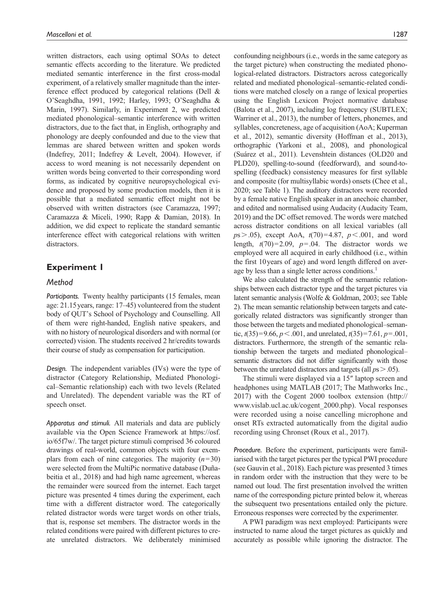written distractors, each using optimal SOAs to detect semantic effects according to the literature. We predicted mediated semantic interference in the first cross-modal experiment, of a relatively smaller magnitude than the interference effect produced by categorical relations (Dell & O'Seaghdha, 1991, 1992; Harley, 1993; O'Seaghdha & Marin, 1997). Similarly, in Experiment 2, we predicted mediated phonological–semantic interference with written distractors, due to the fact that, in English, orthography and phonology are deeply confounded and due to the view that lemmas are shared between written and spoken words (Indefrey, 2011; Indefrey & Levelt, 2004). However, if access to word meaning is not necessarily dependent on written words being converted to their corresponding word forms, as indicated by cognitive neuropsychological evidence and proposed by some production models, then it is possible that a mediated semantic effect might not be observed with written distractors (see Caramazza, 1997; Caramazza & Miceli, 1990; Rapp & Damian, 2018). In addition, we did expect to replicate the standard semantic interference effect with categorical relations with written distractors.

# **Experiment 1**

#### *Method*

*Participants.* Twenty healthy participants (15 females, mean age: 21.15years, range: 17–45) volunteered from the student body of QUT's School of Psychology and Counselling. All of them were right-handed, English native speakers, and with no history of neurological disorders and with normal (or corrected) vision. The students received 2 hr/credits towards their course of study as compensation for participation.

*Design.* The independent variables (IVs) were the type of distractor (Category Relationship, Mediated Phonological–Semantic relationship) each with two levels (Related and Unrelated). The dependent variable was the RT of speech onset.

*Apparatus and stimuli.* All materials and data are publicly available via the Open Science Framework at [https://osf.](https://osf.io/65f7w/) [io/65f7w/](https://osf.io/65f7w/). The target picture stimuli comprised 36 coloured drawings of real-world, common objects with four exemplars from each of nine categories. The majority  $(n=30)$ were selected from the MultiPic normative database (Duñabeitia et al., 2018) and had high name agreement, whereas the remainder were sourced from the internet. Each target picture was presented 4 times during the experiment, each time with a different distractor word. The categorically related distractor words were target words on other trials, that is, response set members. The distractor words in the related conditions were paired with different pictures to create unrelated distractors. We deliberately minimised

confounding neighbours (i.e., words in the same category as the target picture) when constructing the mediated phonological-related distractors. Distractors across categorically related and mediated phonological–semantic-related conditions were matched closely on a range of lexical properties using the English Lexicon Project normative database (Balota et al., 2007), including log frequency (SUBTLEX; Warriner et al., 2013), the number of letters, phonemes, and syllables, concreteness, age of acquisition (AoA; Kuperman et al., 2012), semantic diversity (Hoffman et al., 2013), orthographic (Yarkoni et al., 2008), and phonological (Suárez et al., 2011). Levenshtein distances (OLD20 and PLD20), spelling-to-sound (feedforward), and sound-tospelling (feedback) consistency measures for first syllable and composite (for multisyllabic words) onsets (Chee et al., 2020; see Table 1). The auditory distractors were recorded by a female native English speaker in an anechoic chamber, and edited and normalised using Audacity (Audacity Team, 2019) and the DC offset removed. The words were matched across distractor conditions on all lexical variables (all *p*s>.05), except AoA, *t*(70)=4.87, *p*<.001, and word length,  $t(70)=2.09$ ,  $p=.04$ . The distractor words we employed were all acquired in early childhood (i.e., within the first 10years of age) and word length differed on average by less than a single letter across conditions.<sup>1</sup>

We also calculated the strength of the semantic relationships between each distractor type and the target pictures via latent semantic analysis (Wolfe & Goldman, 2003; see Table 2). The mean semantic relationship between targets and categorically related distractors was significantly stronger than those between the targets and mediated phonological–semantic,  $t(35)=9.66$ ,  $p < .001$ , and unrelated,  $t(35)=7.61$ ,  $p=.001$ , distractors. Furthermore, the strength of the semantic relationship between the targets and mediated phonological– semantic distractors did not differ significantly with those between the unrelated distractors and targets (all *p*s>.05).

The stimuli were displayed via a 15″ laptop screen and headphones using MATLAB (2017; The Mathworks Inc., 2017) with the Cogent 2000 toolbox extension ([http://](http://www.vislab.ucl.ac.uk/cogent_2000.php) [www.vislab.ucl.ac.uk/cogent\\_2000.php\)](http://www.vislab.ucl.ac.uk/cogent_2000.php). Vocal responses were recorded using a noise cancelling microphone and onset RTs extracted automatically from the digital audio recording using Chronset (Roux et al., 2017).

*Procedure.* Before the experiment, participants were familiarised with the target pictures per the typical PWI procedure (see Gauvin et al., 2018). Each picture was presented 3 times in random order with the instruction that they were to be named out loud. The first presentation involved the written name of the corresponding picture printed below it, whereas the subsequent two presentations entailed only the picture. Erroneous responses were corrected by the experimenter.

A PWI paradigm was next employed: Participants were instructed to name aloud the target pictures as quickly and accurately as possible while ignoring the distractor. The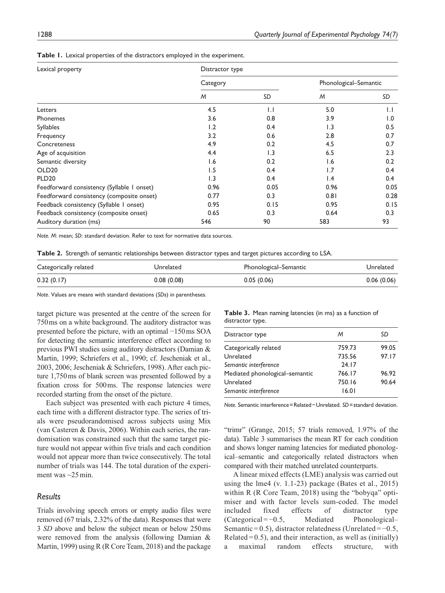| Lexical property                           | Distractor type |                  |                       |              |
|--------------------------------------------|-----------------|------------------|-----------------------|--------------|
|                                            | Category        |                  | Phonological-Semantic |              |
|                                            | M               | SD               | M                     | SD           |
| Letters                                    | 4.5             | $\overline{1}$ . | 5.0                   | $\mathsf{L}$ |
| Phonemes                                   | 3.6             | 0.8              | 3.9                   | 1.0          |
| <b>Syllables</b>                           | 1.2             | 0.4              | 1.3                   | 0.5          |
| Frequency                                  | 3.2             | 0.6              | 2.8                   | 0.7          |
| Concreteness                               | 4.9             | 0.2              | 4.5                   | 0.7          |
| Age of acquisition                         | 4.4             | 1.3              | 6.5                   | 2.3          |
| Semantic diversity                         | 1.6             | 0.2              | 1.6                   | 0.2          |
| OLD <sub>20</sub>                          | 1.5             | 0.4              | 1.7                   | 0.4          |
| <b>PLD20</b>                               | 1.3             | 0.4              | $\mathsf{I}$ .4       | 0.4          |
| Feedforward consistency (Syllable 1 onset) | 0.96            | 0.05             | 0.96                  | 0.05         |
| Feedforward consistency (composite onset)  | 0.77            | 0.3              | 0.81                  | 0.28         |
| Feedback consistency (Syllable 1 onset)    | 0.95            | 0.15             | 0.95                  | 0.15         |
| Feedback consistency (composite onset)     | 0.65            | 0.3              | 0.64                  | 0.3          |
| Auditory duration (ms)                     | 546             | 90               | 583                   | 93           |

*Note. M*: mean; *SD*: standard deviation. Refer to text for normative data sources.

**Table 2.** Strength of semantic relationships between distractor types and target pictures according to LSA.

| Categorically related | Unrelated  | Phonological–Semantic | Unrelated  |
|-----------------------|------------|-----------------------|------------|
| 0.32(0.17)            | 0.08(0.08) | 0.05(0.06)            | 0.06(0.06) |

*Note*. Values are means with standard deviations (*SD*s) in parentheses.

target picture was presented at the centre of the screen for 750ms on a white background. The auditory distractor was presented before the picture, with an optimal −150ms SOA for detecting the semantic interference effect according to previous PWI studies using auditory distractors (Damian & Martin, 1999; Schriefers et al., 1990; cf. Jescheniak et al., 2003, 2006; Jescheniak & Schriefers, 1998). After each picture 1,750ms of blank screen was presented followed by a fixation cross for 500ms. The response latencies were recorded starting from the onset of the picture.

Each subject was presented with each picture 4 times, each time with a different distractor type. The series of trials were pseudorandomised across subjects using Mix (van Casteren & Davis, 2006). Within each series, the randomisation was constrained such that the same target picture would not appear within five trials and each condition would not appear more than twice consecutively. The total number of trials was 144. The total duration of the experiment was  $\sim$ 25 min.

# *Results*

Trials involving speech errors or empty audio files were removed (67 trials, 2.32% of the data). Responses that were 3 *SD* above and below the subject mean or below 250ms were removed from the analysis (following Damian & Martin, 1999) using R (R Core Team, 2018) and the package

**Table 3.** Mean naming latencies (in ms) as a function of distractor type.

| Distractor type                | м      | SD    |
|--------------------------------|--------|-------|
| Categorically related          | 759.73 | 99.05 |
| Unrelated                      | 735.56 | 97.17 |
| Semantic interference          | 24.17  |       |
| Mediated phonological-semantic | 766.17 | 96.92 |
| Unrelated                      | 750.16 | 90.64 |
| Semantic interference          | 16.01  |       |
|                                |        |       |

*Note*. Semantic interference=Related−Unrelated. *SD*=standard deviation.

"trimr" (Grange, 2015; 57 trials removed, 1.97% of the data). Table 3 summarises the mean RT for each condition and shows longer naming latencies for mediated phonological–semantic and categorically related distractors when compared with their matched unrelated counterparts.

A linear mixed effects (LME) analysis was carried out using the lme4 (v. 1.1-23) package (Bates et al., 2015) within R (R Core Team, 2018) using the "bobyqa" optimiser and with factor levels sum-coded. The model included fixed effects of distractor type (Categorical = −0.5, Mediated Phonological– Semantic =  $0.5$ ), distractor relatedness (Unrelated =  $-0.5$ , Related =  $0.5$ ), and their interaction, as well as (initially) a maximal random effects structure, with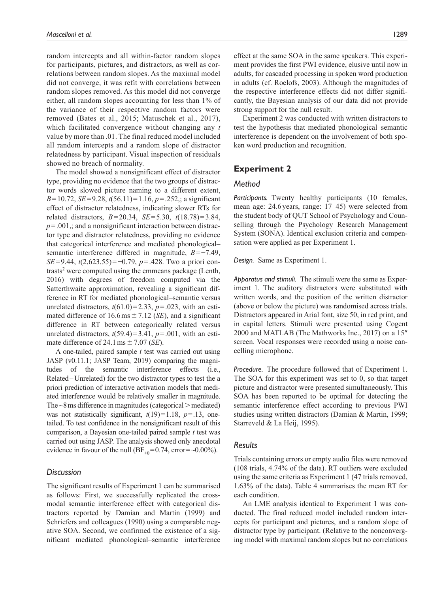random intercepts and all within-factor random slopes for participants, pictures, and distractors, as well as correlations between random slopes. As the maximal model did not converge, it was refit with correlations between random slopes removed. As this model did not converge either, all random slopes accounting for less than 1% of the variance of their respective random factors were removed (Bates et al., 2015; Matuschek et al., 2017), which facilitated convergence without changing any *t* value by more than .01. The final reduced model included all random intercepts and a random slope of distractor relatedness by participant. Visual inspection of residuals showed no breach of normality.

The model showed a nonsignificant effect of distractor type, providing no evidence that the two groups of distractor words slowed picture naming to a different extent, *B*=10.72, *SE*=9.28, *t*(56.11)=1.16, *p*=.252,; a significant effect of distractor relatedness, indicating slower RTs for related distractors, *B*=20.34, *SE*=5.30, *t*(18.78)=3.84,  $p = .001$ ,; and a nonsignificant interaction between distractor type and distractor relatedness, providing no evidence that categorical interference and mediated phonological– semantic interference differed in magnitude, *B*=−7.49, *SE*=9.44, *t*(2,623.55)=−0.79, *p*=.428. Two a priori contrasts<sup>2</sup> were computed using the emmeans package (Lenth, 2016) with degrees of freedom computed via the Satterthwaite approximation, revealing a significant difference in RT for mediated phonological–semantic versus unrelated distractors,  $t(61.0) = 2.33$ ,  $p = .023$ , with an estimated difference of  $16.6 \text{ ms} \pm 7.12$  (*SE*), and a significant difference in RT between categorically related versus unrelated distractors,  $t(59.4)=3.41$ ,  $p=.001$ , with an estimate difference of 24.1 ms  $\pm$  7.07 (*SE*).

A one-tailed, paired sample *t* test was carried out using JASP (v0.11.1; JASP Team, 2019) comparing the magnitudes of the semantic interference effects (i.e., Related−Unrelated) for the two distractor types to test the a priori prediction of interactive activation models that mediated interference would be relatively smaller in magnitude. The  $\sim$ 8 ms difference in magnitudes (categorical  $>$  mediated) was not statistically significant, *t*(19)=1.18, *p*=.13, onetailed. To test confidence in the nonsignificant result of this comparison, a Bayesian one-tailed paired sample *t* test was carried out using JASP. The analysis showed only anecdotal evidence in favour of the null  $(BF_{+0}=0.74, \text{ error}=-0.00\%)$ .

#### *Discussion*

The significant results of Experiment 1 can be summarised as follows: First, we successfully replicated the crossmodal semantic interference effect with categorical distractors reported by Damian and Martin (1999) and Schriefers and colleagues (1990) using a comparable negative SOA. Second, we confirmed the existence of a significant mediated phonological–semantic interference

effect at the same SOA in the same speakers. This experiment provides the first PWI evidence, elusive until now in adults, for cascaded processing in spoken word production in adults (cf. Roelofs, 2003). Although the magnitudes of the respective interference effects did not differ significantly, the Bayesian analysis of our data did not provide strong support for the null result.

Experiment 2 was conducted with written distractors to test the hypothesis that mediated phonological–semantic interference is dependent on the involvement of both spoken word production and recognition.

# **Experiment 2**

# *Method*

Participants. Twenty healthy participants (10 females, mean age: 24.6 years, range: 17–45) were selected from the student body of QUT School of Psychology and Counselling through the Psychology Research Management System (SONA). Identical exclusion criteria and compensation were applied as per Experiment 1.

*Design.* Same as Experiment 1.

*Apparatus and stimuli.* The stimuli were the same as Experiment 1. The auditory distractors were substituted with written words, and the position of the written distractor (above or below the picture) was randomised across trials. Distractors appeared in Arial font, size 50, in red print, and in capital letters. Stimuli were presented using Cogent 2000 and MATLAB (The Mathworks Inc., 2017) on a 15″ screen. Vocal responses were recorded using a noise cancelling microphone.

*Procedure.* The procedure followed that of Experiment 1. The SOA for this experiment was set to 0, so that target picture and distractor were presented simultaneously. This SOA has been reported to be optimal for detecting the semantic interference effect according to previous PWI studies using written distractors (Damian & Martin, 1999; Starreveld & La Heij, 1995).

# *Results*

Trials containing errors or empty audio files were removed (108 trials, 4.74% of the data). RT outliers were excluded using the same criteria as Experiment 1 (47 trials removed, 1.63% of the data). Table 4 summarises the mean RT for each condition.

An LME analysis identical to Experiment 1 was conducted. The final reduced model included random intercepts for participant and pictures, and a random slope of distractor type by participant. (Relative to the nonconverging model with maximal random slopes but no correlations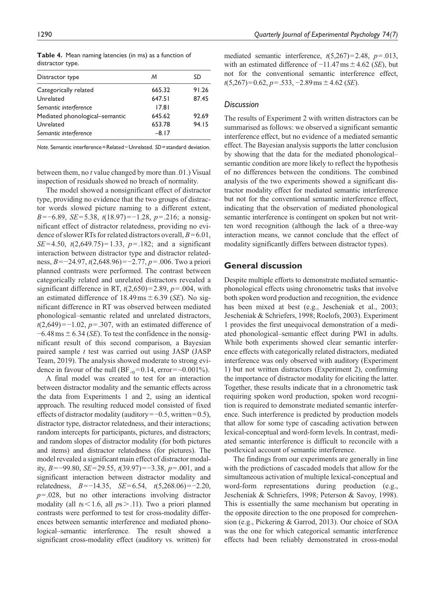| Distractor type                | м       | SD    |
|--------------------------------|---------|-------|
| Categorically related          | 665.32  | 91.26 |
| Unrelated                      | 647.51  | 87.45 |
| Semantic interference          | 17.81   |       |
| Mediated phonological-semantic | 645.62  | 92.69 |
| Unrelated                      | 653.78  | 94.15 |
| Semantic interference          | $-8.17$ |       |
|                                |         |       |

**Table 4.** Mean naming latencies (in ms) as a function of distractor type.

*Note.* Semantic interference=Related−Unrelated. *SD*=standard deviation.

between them, no *t* value changed by more than .01.) Visual inspection of residuals showed no breach of normality.

The model showed a nonsignificant effect of distractor type, providing no evidence that the two groups of distractor words slowed picture naming to a different extent, *B*=−6.89, *SE*=5.38, *t*(18.97)=−1.28, *p*=.216; a nonsignificant effect of distractor relatedness, providing no evidence of slower RTs for related distractors overall, *B*=6.01, *SE*=4.50, *t*(2,649.75)=1.33, *p*=.182; and a significant interaction between distractor type and distractor relatedness, *B*=−24.97, *t*(2,648.96)=−2.77, *p*=.006. Two a priori planned contrasts were performed. The contrast between categorically related and unrelated distractors revealed a significant difference in RT,  $t(2,650)=2.89$ ,  $p=.004$ , with an estimated difference of  $18.49 \text{ ms} \pm 6.39 \text{ (}SE\text{).}$  No significant difference in RT was observed between mediated phonological–semantic related and unrelated distractors, *t*(2,649)=−1.02, *p*=.307, with an estimated difference of  $-6.48 \text{ ms} \pm 6.34$  (*SE*). To test the confidence in the nonsignificant result of this second comparison, a Bayesian paired sample *t* test was carried out using JASP (JASP Team, 2019). The analysis showed moderate to strong evidence in favour of the null (BF<sub>+0</sub>=0.14, error=~0.001%).

A final model was created to test for an interaction between distractor modality and the semantic effects across the data from Experiments 1 and 2, using an identical approach. The resulting reduced model consisted of fixed effects of distractor modality (auditory=−0.5, written=0.5), distractor type, distractor relatedness, and their interactions; random intercepts for participants, pictures, and distractors; and random slopes of distractor modality (for both pictures and items) and distractor relatedness (for pictures). The model revealed a significant main effect of distractor modality, *B*=−99.80, *SE*=29.55, *t*(39.97)=−3.38, *p*=.001, and a significant interaction between distractor modality and relatedness, *B*=−14.35, *SE*=6.54, *t*(5,268.06)=−2.20, *p*=.028, but no other interactions involving distractor modality (all *t*s<1.6, all *p*s>.11). Two a priori planned contrasts were performed to test for cross-modality differences between semantic interference and mediated phonological–semantic interference. The result showed a significant cross-modality effect (auditory vs. written) for mediated semantic interference, *t*(5,267)=2.48, *p*=.013, with an estimated difference of −11.47ms±4.62 (*SE*), but not for the conventional semantic interference effect, *t*(5,267)=0.62, *p*=.533, −2.89ms ± 4.62 (*SE*).

#### *Discussion*

The results of Experiment 2 with written distractors can be summarised as follows: we observed a significant semantic interference effect, but no evidence of a mediated semantic effect. The Bayesian analysis supports the latter conclusion by showing that the data for the mediated phonological– semantic condition are more likely to reflect the hypothesis of no differences between the conditions. The combined analysis of the two experiments showed a significant distractor modality effect for mediated semantic interference but not for the conventional semantic interference effect, indicating that the observation of mediated phonological semantic interference is contingent on spoken but not written word recognition (although the lack of a three-way interaction means, we cannot conclude that the effect of modality significantly differs between distractor types).

# **General discussion**

Despite multiple efforts to demonstrate mediated semanticphonological effects using chronometric tasks that involve both spoken word production and recognition, the evidence has been mixed at best (e.g., Jescheniak et al., 2003; Jescheniak & Schriefers, 1998; Roelofs, 2003). Experiment 1 provides the first unequivocal demonstration of a mediated phonological–semantic effect during PWI in adults. While both experiments showed clear semantic interference effects with categorically related distractors, mediated interference was only observed with auditory (Experiment 1) but not written distractors (Experiment 2), confirming the importance of distractor modality for eliciting the latter. Together, these results indicate that in a chronometric task requiring spoken word production, spoken word recognition is required to demonstrate mediated semantic interference. Such interference is predicted by production models that allow for some type of cascading activation between lexical-conceptual and word-form levels. In contrast, mediated semantic interference is difficult to reconcile with a postlexical account of semantic interference.

The findings from our experiments are generally in line with the predictions of cascaded models that allow for the simultaneous activation of multiple lexical-conceptual and word-form representations during production (e.g., Jescheniak & Schriefers, 1998; Peterson & Savoy, 1998). This is essentially the same mechanism but operating in the opposite direction to the one proposed for comprehension (e.g., Pickering & Garrod, 2013). Our choice of SOA was the one for which categorical semantic interference effects had been reliably demonstrated in cross-modal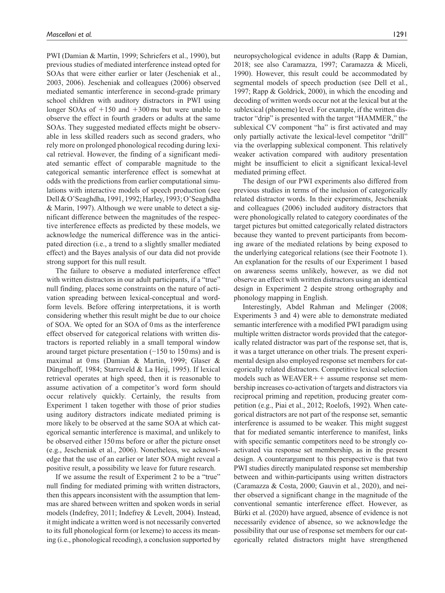PWI (Damian & Martin, 1999; Schriefers et al., 1990), but previous studies of mediated interference instead opted for SOAs that were either earlier or later (Jescheniak et al., 2003, 2006). Jescheniak and colleagues (2006) observed mediated semantic interference in second-grade primary school children with auditory distractors in PWI using longer SOAs of  $+150$  and  $+300$  ms but were unable to observe the effect in fourth graders or adults at the same SOAs. They suggested mediated effects might be observable in less skilled readers such as second graders, who rely more on prolonged phonological recoding during lexical retrieval. However, the finding of a significant mediated semantic effect of comparable magnitude to the categorical semantic interference effect is somewhat at odds with the predictions from earlier computational simulations with interactive models of speech production (see Dell & O'Seaghdha, 1991, 1992; Harley, 1993; O'Seaghdha & Marin, 1997). Although we were unable to detect a significant difference between the magnitudes of the respective interference effects as predicted by these models, we acknowledge the numerical difference was in the anticipated direction (i.e., a trend to a slightly smaller mediated effect) and the Bayes analysis of our data did not provide strong support for this null result.

The failure to observe a mediated interference effect with written distractors in our adult participants, if a "true" null finding, places some constraints on the nature of activation spreading between lexical-conceptual and wordform levels. Before offering interpretations, it is worth considering whether this result might be due to our choice of SOA. We opted for an SOA of 0ms as the interference effect observed for categorical relations with written distractors is reported reliably in a small temporal window around target picture presentation (−150 to 150ms) and is maximal at 0ms (Damian & Martin, 1999; Glaser & Düngelhoff, 1984; Starreveld & La Heij, 1995). If lexical retrieval operates at high speed, then it is reasonable to assume activation of a competitor's word form should occur relatively quickly. Certainly, the results from Experiment 1 taken together with those of prior studies using auditory distractors indicate mediated priming is more likely to be observed at the same SOA at which categorical semantic interference is maximal, and unlikely to be observed either 150ms before or after the picture onset (e.g., Jescheniak et al., 2006). Nonetheless, we acknowledge that the use of an earlier or later SOA might reveal a positive result, a possibility we leave for future research.

If we assume the result of Experiment 2 to be a "true" null finding for mediated priming with written distractors, then this appears inconsistent with the assumption that lemmas are shared between written and spoken words in serial models (Indefrey, 2011; Indefrey & Levelt, 2004). Instead, it might indicate a written word is not necessarily converted to its full phonological form (or lexeme) to access its meaning (i.e., phonological recoding), a conclusion supported by

neuropsychological evidence in adults (Rapp & Damian, 2018; see also Caramazza, 1997; Caramazza & Miceli, 1990). However, this result could be accommodated by segmental models of speech production (see Dell et al., 1997; Rapp & Goldrick, 2000), in which the encoding and decoding of written words occur not at the lexical but at the sublexical (phoneme) level. For example, if the written distractor "drip" is presented with the target "HAMMER," the sublexical CV component "ha" is first activated and may only partially activate the lexical-level competitor "drill" via the overlapping sublexical component. This relatively weaker activation compared with auditory presentation might be insufficient to elicit a significant lexical-level mediated priming effect.

The design of our PWI experiments also differed from previous studies in terms of the inclusion of categorically related distractor words. In their experiments, Jescheniak and colleagues (2006) included auditory distractors that were phonologically related to category coordinates of the target pictures but omitted categorically related distractors because they wanted to prevent participants from becoming aware of the mediated relations by being exposed to the underlying categorical relations (see their Footnote 1). An explanation for the results of our Experiment 1 based on awareness seems unlikely, however, as we did not observe an effect with written distractors using an identical design in Experiment 2 despite strong orthography and phonology mapping in English.

Interestingly, Abdel Rahman and Melinger (2008; Experiments 3 and 4) were able to demonstrate mediated semantic interference with a modified PWI paradigm using multiple written distractor words provided that the categorically related distractor was part of the response set, that is, it was a target utterance on other trials. The present experimental design also employed response set members for categorically related distractors. Competitive lexical selection models such as  $WEAVER++$  assume response set membership increases co-activation of targets and distractors via reciprocal priming and repetition, producing greater competition (e.g., Piai et al., 2012; Roelofs, 1992). When categorical distractors are not part of the response set, semantic interference is assumed to be weaker. This might suggest that for mediated semantic interference to manifest, links with specific semantic competitors need to be strongly coactivated via response set membership, as in the present design. A counterargument to this perspective is that two PWI studies directly manipulated response set membership between and within-participants using written distractors (Caramazza & Costa, 2000; Gauvin et al., 2020), and neither observed a significant change in the magnitude of the conventional semantic interference effect. However, as Bürki et al. (2020) have argued, absence of evidence is not necessarily evidence of absence, so we acknowledge the possibility that our use of response set members for our categorically related distractors might have strengthened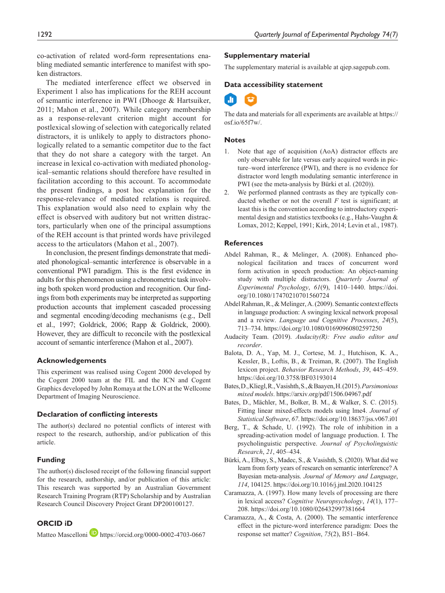co-activation of related word-form representations enabling mediated semantic interference to manifest with spoken distractors.

The mediated interference effect we observed in Experiment 1 also has implications for the REH account of semantic interference in PWI (Dhooge & Hartsuiker, 2011; Mahon et al., 2007). While category membership as a response-relevant criterion might account for postlexical slowing of selection with categorically related distractors, it is unlikely to apply to distractors phonologically related to a semantic competitor due to the fact that they do not share a category with the target. An increase in lexical co-activation with mediated phonological–semantic relations should therefore have resulted in facilitation according to this account. To accommodate the present findings, a post hoc explanation for the response-relevance of mediated relations is required. This explanation would also need to explain why the effect is observed with auditory but not written distractors, particularly when one of the principal assumptions of the REH account is that printed words have privileged access to the articulators (Mahon et al., 2007).

In conclusion, the present findings demonstrate that mediated phonological–semantic interference is observable in a conventional PWI paradigm. This is the first evidence in adults for this phenomenon using a chronometric task involving both spoken word production and recognition. Our findings from both experiments may be interpreted as supporting production accounts that implement cascaded processing and segmental encoding/decoding mechanisms (e.g., Dell et al., 1997; Goldrick, 2006; Rapp & Goldrick, 2000). However, they are difficult to reconcile with the postlexical account of semantic interference (Mahon et al., 2007).

#### **Acknowledgements**

This experiment was realised using Cogent 2000 developed by the Cogent 2000 team at the FIL and the ICN and Cogent Graphics developed by John Romaya at the LON at the Wellcome Department of Imaging Neuroscience.

#### **Declaration of conflicting interests**

The author(s) declared no potential conflicts of interest with respect to the research, authorship, and/or publication of this article.

#### **Funding**

The author(s) disclosed receipt of the following financial support for the research, authorship, and/or publication of this article: This research was supported by an Australian Government Research Training Program (RTP) Scholarship and by Australian Research Council Discovery Project Grant DP200100127.

#### **ORCID iD**

Matteo Mascelloni **<https://orcid.org/0000-0002-4703-0667>** 

#### **Supplementary material**

The supplementary material is available at qjep.sagepub.com.

#### **Data accessibility statement**

The data and materials for all experiments are available at [https://](https://osf.io/65f7w/) [osf.io/65f7w/.](https://osf.io/65f7w/)

#### **Notes**

- 1. Note that age of acquisition (AoA) distractor effects are only observable for late versus early acquired words in picture–word interference (PWI), and there is no evidence for distractor word length modulating semantic interference in PWI (see the meta-analysis by Bürki et al. (2020)).
- 2. We performed planned contrasts as they are typically conducted whether or not the overall *F* test is significant; at least this is the convention according to introductory experimental design and statistics textbooks (e.g., Hahs-Vaughn & Lomax, 2012; Keppel, 1991; Kirk, 2014; Levin et al., 1987).

#### **References**

- Abdel Rahman, R., & Melinger, A. (2008). Enhanced phonological facilitation and traces of concurrent word form activation in speech production: An object-naming study with multiple distractors. *Quarterly Journal of Experimental Psychology*, *61*(9), 1410–1440. [https://doi.](https://doi.org/10.1080/17470210701560724) [org/10.1080/17470210701560724](https://doi.org/10.1080/17470210701560724)
- Abdel Rahman, R., & Melinger, A. (2009). Semantic context effects in language production: A swinging lexical network proposal and a review. *Language and Cognitive Processes*, *24*(5), 713–734.<https://doi.org/10.1080/01690960802597250>
- Audacity Team. (2019). *Audacity(R): Free audio editor and recorder*.
- Balota, D. A., Yap, M. J., Cortese, M. J., Hutchison, K. A., Kessler, B., Loftis, B., & Treiman, R. (2007). The English lexicon project. *Behavior Research Methods*, *39*, 445–459. <https://doi.org/10.3758/BF03193014>
- Bates, D., Kliegl, R., Vasishth, S., & Baayen, H. (2015). *Parsimonious mixed models*.<https://arxiv.org/pdf/1506.04967.pdf>
- Bates, D., Mächler, M., Bolker, B. M., & Walker, S. C. (2015). Fitting linear mixed-effects models using lme4. *Journal of Statistical Software*, *67*.<https://doi.org/10.18637/jss.v067.i01>
- Berg, T., & Schade, U. (1992). The role of inhibition in a spreading-activation model of language production. I. The psycholinguistic perspective. *Journal of Psycholinguistic Research*, *21*, 405–434.
- Bürki, A., Elbuy, S., Madec, S., & Vasishth, S. (2020). What did we learn from forty years of research on semantic interference? A Bayesian meta-analysis. *Journal of Memory and Language*, *114*, 104125.<https://doi.org/10.1016/j.jml.2020.104125>
- Caramazza, A. (1997). How many levels of processing are there in lexical access? *Cognitive Neuropsychology*, *14*(1), 177– 208.<https://doi.org/10.1080/026432997381664>
- Caramazza, A., & Costa, A. (2000). The semantic interference effect in the picture-word interference paradigm: Does the response set matter? *Cognition*, *75*(2), B51–B64.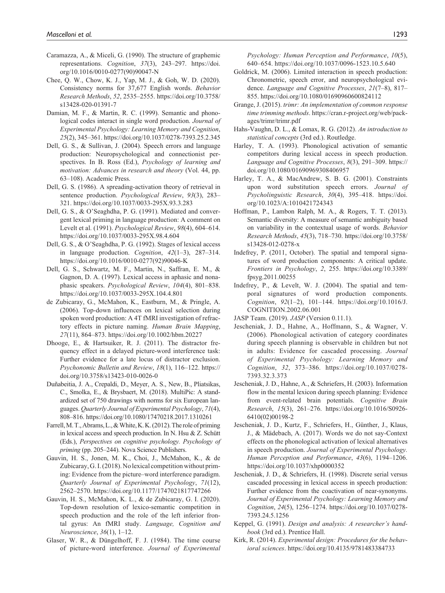- Caramazza, A., & Miceli, G. (1990). The structure of graphemic representations. *Cognition*, *37*(3), 243–297. [https://doi.](https://doi.org/10.1016/0010-0277(90)90047-N) [org/10.1016/0010-0277\(90\)90047-N](https://doi.org/10.1016/0010-0277(90)90047-N)
- Chee, Q. W., Chow, K. J., Yap, M. J., & Goh, W. D. (2020). Consistency norms for 37,677 English words. *Behavior Research Methods*, *52*, 2535–2555. [https://doi.org/10.3758/](https://doi.org/10.3758/s13428-020-01391-7) [s13428-020-01391-7](https://doi.org/10.3758/s13428-020-01391-7)
- Damian, M. F., & Martin, R. C. (1999). Semantic and phonological codes interact in single word production. *Journal of Experimental Psychology: Learning Memory and Cognition*, *25*(2), 345–361.<https://doi.org/10.1037/0278-7393.25.2.345>
- Dell, G. S., & Sullivan, J. (2004). Speech errors and language production: Neuropsychological and connectionist perspectives. In B. Ross (Ed.), *Psychology of learning and motivation: Advances in research and theory* (Vol. 44, pp. 63–108). Academic Press.
- Dell, G. S. (1986). A spreading-activation theory of retrieval in sentence production. *Psychological Review*, *93*(3), 283– 321.<https://doi.org/10.1037/0033-295X.93.3.283>
- Dell, G. S., & O'Seaghdha, P. G. (1991). Mediated and convergent lexical priming in language production: A comment on Levelt et al. (1991). *Psychological Review*, *98*(4), 604–614. <https://doi.org/10.1037/0033-295X.98.4.604>
- Dell, G. S., & O'Seaghdha, P. G. (1992). Stages of lexical access in language production. *Cognition*, *42*(1–3), 287–314. [https://doi.org/10.1016/0010-0277\(92\)90046-K](https://doi.org/10.1016/0010-0277(92)90046-K)
- Dell, G. S., Schwartz, M. F., Martin, N., Saffran, E. M., & Gagnon, D. A. (1997). Lexical access in aphasic and nonaphasic speakers. *Psychological Review*, *104*(4), 801–838. <https://doi.org/10.1037/0033-295X.104.4.801>
- de Zubicaray, G., McMahon, K., Eastburn, M., & Pringle, A. (2006). Top-down influences on lexical selection during spoken word production: A 4T fMRI investigation of refractory effects in picture naming. *Human Brain Mapping*, *27*(11), 864–873. <https://doi.org/10.1002/hbm.20227>
- Dhooge, E., & Hartsuiker, R. J. (2011). The distractor frequency effect in a delayed picture-word interference task: Further evidence for a late locus of distractor exclusion. *Psychonomic Bulletin and Review*, *18*(1), 116–122. [https://](https://doi.org/10.3758/s13423-010-0026-0) [doi.org/10.3758/s13423-010-0026-0](https://doi.org/10.3758/s13423-010-0026-0)
- Duñabeitia, J. A., Crepaldi, D., Meyer, A. S., New, B., Pliatsikas, C., Smolka, E., & Brysbaert, M. (2018). MultiPic: A standardized set of 750 drawings with norms for six European languages. *Quarterly Journal of Experimental Psychology*, *71*(4), 808–816.<https://doi.org/10.1080/17470218.2017.1310261>
- Farrell, M. T., Abrams, L., & White, K. K. (2012). The role of priming in lexical access and speech production. In N. Hsu & Z. Schütt (Eds.), *Perspectives on cognitive psychology. Psychology of priming* (pp. 205–244). Nova Science Publishers.
- Gauvin, H. S., Jonen, M. K., Choi, J., McMahon, K., & de Zubicaray, G. I. (2018). No lexical competition without priming: Evidence from the picture–word interference paradigm. *Quarterly Journal of Experimental Psychology*, *71*(12), 2562–2570.<https://doi.org/10.1177/1747021817747266>
- Gauvin, H. S., McMahon, K. L., & de Zubicaray, G. I. (2020). Top-down resolution of lexico-semantic competition in speech production and the role of the left inferior frontal gyrus: An fMRI study. *Language, Cognition and Neuroscience*, *36*(1), 1–12.
- Glaser, W. R., & Düngelhoff, F. J. (1984). The time course of picture-word interference. *Journal of Experimental*

*Psychology: Human Perception and Performance*, *10*(5), 640–654. <https://doi.org/10.1037/0096-1523.10.5.640>

- Goldrick, M. (2006). Limited interaction in speech production: Chronometric, speech error, and neuropsychological evidence. *Language and Cognitive Processes*, *21*(7–8), 817– 855.<https://doi.org/10.1080/01690960600824112>
- Grange, J. (2015). *trimr: An implementation of common response time trimming methods*. [https://cran.r-project.org/web/pack](https://cran.r-project.org/web/packages/trimr/trimr.pdf)[ages/trimr/trimr.pdf](https://cran.r-project.org/web/packages/trimr/trimr.pdf)
- Hahs-Vaughn, D. L., & Lomax, R. G. (2012). *An introduction to statistical concepts* (3rd ed.). Routledge.
- Harley, T. A. (1993). Phonological activation of semantic competitors during lexical access in speech production. *Language and Cognitive Processes*, *8*(3), 291–309. [https://](https://doi.org/10.1080/01690969308406957) [doi.org/10.1080/01690969308406957](https://doi.org/10.1080/01690969308406957)
- Harley, T. A., & MacAndrew, S. B. G. (2001). Constraints upon word substitution speech errors. *Journal of Psycholinguistic Research*, *30*(4), 395–418. [https://doi.](https://doi.org/10.1023/A:1010421724343) [org/10.1023/A:1010421724343](https://doi.org/10.1023/A:1010421724343)
- Hoffman, P., Lambon Ralph, M. A., & Rogers, T. T. (2013). Semantic diversity: A measure of semantic ambiguity based on variability in the contextual usage of words. *Behavior Research Methods*, *45*(3), 718–730. [https://doi.org/10.3758/](https://doi.org/10.3758/s13428-012-0278-x) [s13428-012-0278-x](https://doi.org/10.3758/s13428-012-0278-x)
- Indefrey, P. (2011, October). The spatial and temporal signatures of word production components: A critical update. *Frontiers in Psychology*, *2*, 255. [https://doi.org/10.3389/](https://doi.org/10.3389/fpsyg.2011.00255) [fpsyg.2011.00255](https://doi.org/10.3389/fpsyg.2011.00255)
- Indefrey, P., & Levelt, W. J. (2004). The spatial and temporal signatures of word production components. *Cognition*, *92*(1–2), 101–144. [https://doi.org/10.1016/J.](https://doi.org/10.1016/J.COGNITION.2002.06.001) [COGNITION.2002.06.001](https://doi.org/10.1016/J.COGNITION.2002.06.001)
- JASP Team. (2019). *JASP* (Version 0.11.1).
- Jescheniak, J. D., Hahne, A., Hoffmann, S., & Wagner, V. (2006). Phonological activation of category coordinates during speech planning is observable in children but not in adults: Evidence for cascaded processing. *Journal of Experimental Psychology: Learning Memory and Cognition*, *32*, 373–386. [https://doi.org/10.1037/0278-](https://doi.org/10.1037/0278-7393.32.3.373) [7393.32.3.373](https://doi.org/10.1037/0278-7393.32.3.373)
- Jescheniak, J. D., Hahne, A., & Schriefers, H. (2003). Information flow in the mental lexicon during speech planning: Evidence from event-related brain potentials. *Cognitive Brain Research*, *15*(3), 261–276. [https://doi.org/10.1016/S0926-](https://doi.org/10.1016/S0926-6410(02)00198-2) [6410\(02\)00198-2](https://doi.org/10.1016/S0926-6410(02)00198-2)
- Jescheniak, J. D., Kurtz, F., Schriefers, H., Günther, J., Klaus, J., & Mädebach, A. (2017). Words we do not say-Context effects on the phonological activation of lexical alternatives in speech production. *Journal of Experimental Psychology. Human Perception and Performance*, *43*(6), 1194–1206. <https://doi.org/10.1037/xhp0000352>
- Jescheniak, J. D., & Schriefers, H. (1998). Discrete serial versus cascaded processing in lexical access in speech production: Further evidence from the coactivation of near-synonyms. *Journal of Experimental Psychology: Learning Memory and Cognition*, *24*(5), 1256–1274. [https://doi.org/10.1037/0278-](https://doi.org/10.1037/0278-7393.24.5.1256) [7393.24.5.1256](https://doi.org/10.1037/0278-7393.24.5.1256)
- Keppel, G. (1991). *Design and analysis: A researcher's handbook* (3rd ed.). Prentice Hall.
- Kirk, R. (2014). *Experimental design: Procedures for the behavioral sciences*.<https://doi.org/10.4135/9781483384733>